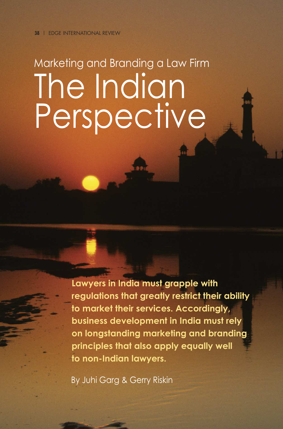# Marketing and Branding a Law Firm The Indian Perspective

**Lawyers in India must grapple with regulations that greatly restrict their ability to market their services. Accordingly, business development in India must rely on longstanding marketing and branding principles that also apply equally well to non-Indian lawyers.**

By Juhi Garg & Gerry Riskin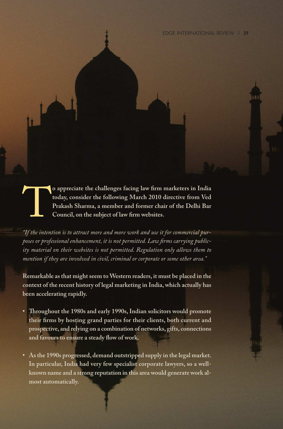o appreciate the challenges facing law firm marketers in India<br>today, consider the following March 2010 directive from Ved<br>Prakash Sharma, a member and former chair of the Delhi Bar<br>Council, on the subject of law firm webs **today, consider the following March 2010 directive from Ved Prakash Sharma, a member and former chair of the Delhi Bar Council, on the subject of law firm websites.**

*"If the intention is to attract more and more work and use it for commercial purposes or professional enhancement, it is not permitted. Law firms carrying publicity material on their websites is not permitted. Regulation only allows them to mention if they are involved in civil, criminal or corporate or some other area."*

**Remarkable asthat mightseem toWestern readers, it must be placed in the context of the recent history of legal marketing in India,which actually has been accelerating rapidly.**

- **• roughout the 1980s and early 1990s,Indian solicitors would promote their firms by hosting grand parties for their clients, both current and prospective, and relying on a combination of networks, gifts, connections and favours to ensure a steady flow of work.**
- **• Asthe 1990s progressed, demand outstripped supply in the legal market. In particular, India had very few specialist corporate lawyers, so a wellknown name and a strong reputation in this area would generate work almost automatically.**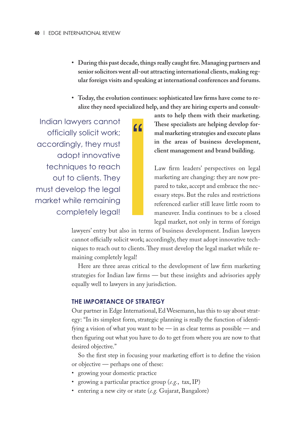- **• During this past decade,thingsreally caught fire.Managing partners and seniorsolicitors went all-out attracting international clients, making regular foreign visits and speaking at international conferences and forums.**
- **• Today, the evolution continues:sophisticated law firms have come to realize they need specialized help, and they are hiring experts and consult-**

"

Indian lawyers cannot officially solicit work; accordingly, they must adopt innovative techniques to reach out to clients. They must develop the legal market while remaining completely legal!

**ants to help them with their marketing. ese specialists are helping develop formal marketing strategies and execute plans in the areas of business development, client management and brand building.**

Law firm leaders' perspectives on legal marketing are changing: they are now prepared to take, accept and embrace the necessary steps. But the rules and restrictions referenced earlier still leave little room to maneuver. India continues to be a closed legal market, not only in terms of foreign

lawyers' entry but also in terms of business development. Indian lawyers cannot officially solicit work; accordingly, they must adopt innovative techniques to reach out to clients. They must develop the legal market while remaining completely legal!

Here are three areas critical to the development of law firm marketing strategies for Indian law firms — but these insights and advisories apply equally well to lawyers in any jurisdiction.

#### **THE IMPORTANCE OF STRATEGY**

Our partner in Edge International, Ed Wesemann, has this to say about strategy: "In its simplest form, strategic planning is really the function of identifying a vision of what you want to be — in as clear terms as possible — and then figuring out what you have to do to get from where you are now to that desired objective."

So the first step in focusing your marketing effort is to define the vision or objective — perhaps one of these:

- growing your domestic practice
- growing a particular practice group (*e.g.*, tax,IP)
- entering a new city or state (*e.g.* Gujarat, Bangalore)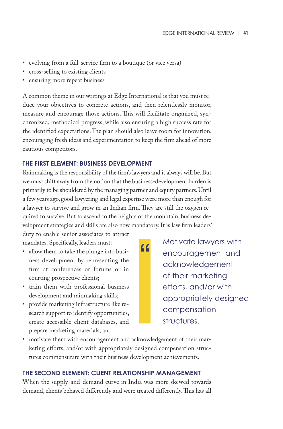- evolving from a full-service firm to a boutique (or vice versa)
- cross-selling to existing clients
- ensuring more repeat business

A common theme in our writings at Edge International is that you must reduce your objectives to concrete actions, and then relentlessly monitor, measure and encourage those actions. This will facilitate organized, synchronized, methodical progress, while also ensuring a high success rate for the identified expectations. The plan should also leave room for innovation, encouraging fresh ideas and experimentation to keep the firm ahead of more cautious competitors.

#### **THE FIRST ELEMENT: BUSINESS DEVELOPMENT**

Rainmaking is the responsibility of the firm's lawyers and it always will be.But we must shift away from the notion that the business-development burden is primarily to be shouldered by the managing partner and equity partners.Until a few years ago, good lawyering and legal expertise were more than enough for a lawyer to survive and grow in an Indian firm. They are still the oxygen required to survive. But to ascend to the heights of the mountain, business development strategies and skills are also now mandatory.It is law firm leaders'

 $\overline{11}$ 

duty to enable senior associates to attract mandates. Specifically, leaders must:

- allow them to take the plunge into business development by representing the firm at conferences or forums or in courting prospective clients;
- train them with professional business development and rainmaking skills;
- provide marketing infrastructure like research support to identify opportunities, create accessible client databases, and prepare marketing materials; and

Motivate lawyers with encouragement and acknowledgement of their marketing efforts, and/or with appropriately designed compensation structures.

• motivate them with encouragement and acknowledgement of their marketing efforts, and/or with appropriately designed compensation structures commensurate with their business development achievements.

### **THE SECOND ELEMENT: CLIENT RELATIONSHIP MANAGEMENT**

When the supply-and-demand curve in India was more skewed towards demand, clients behaved differently and were treated differently. This has all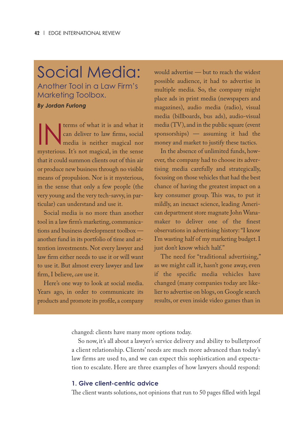## Social Media:

Another Tool in a Law Firm's Marketing Toolbox.

*By Jordan Furlong*

INTER COMES TO THE MANUS CONTROLLED TO A MANUS CONTROLLED TO THE MANUS CONTROLLED TO THE MANUS CONTROLLED TO THE MANUS CONTROLLED TO THE MANUS CONTROLLED TO THE MANUS CONTROLLED TO THE MANUS CONTROLLED TO THE MANUS CONTROL can deliver to law firms, social media is neither magical nor mysterious. It's not magical, in the sense that it could summon clients out of thin air or produce new business through no visible means of propulsion. Nor is it mysterious, in the sense that only a few people (the very young and the very tech-savvy, in particular) can understand and use it.

Social media is no more than another tool in a law firm's marketing, communications and business development toolbox another fund in its portfolio of time and attention investments. Not every lawyer and law firm either needs to use it or will want to use it. But almost every lawyer and law firm,I believe, *can* use it.

Here's one way to look at social media. Years ago, in order to communicate its products and promote its profile, a company would advertise — but to reach the widest possible audience, it had to advertise in multiple media. So, the company might place ads in print media (newspapers and magazines), audio media (radio), visual media (billboards, bus ads), audio-visual media (TV), and in the public square (event sponsorships) — assuming it had the money and market to justify these tactics.

In the absence of unlimited funds, however, the company had to choose its advertising media carefully and strategically, focusing on those vehicles that had the best chance of having the greatest impact on a key consumer group. This was, to put it mildly, an inexact science, leading American department store magnate John Wanamaker to deliver one of the finest observations in advertising history:"I know I'm wasting half of my marketing budget.I just don't know which half."

The need for "traditional advertising," as we might call it, hasn't gone away, even if the specific media vehicles have changed (many companies today are likelier to advertise on blogs, on Google search results, or even inside video games than in

changed: clients have many more options today.

So now, it's all about a lawyer's service delivery and ability to bulletproof a client relationship. Clients' needs are much more advanced than today's law firms are used to, and we can expect this sophistication and expectation to escalate. Here are three examples of how lawyers should respond:

#### **1. Give client-centric advice**

The client wants solutions, not opinions that run to 50 pages filled with legal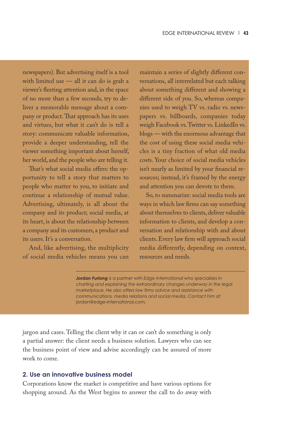newspapers). But advertising itself is a tool with limited use — all it can do is grab a viewer's fleeting attention and, in the space of no more than a few seconds, try to deliver a memorable message about a company or product. That approach has its uses and virtues, but what it can't do is tell a story: communicate valuable information, provide a deeper understanding, tell the viewer something important about herself, her world, and the people who are telling it.

That's what social media offers: the opportunity to tell a story that matters to people who matter to you, to initiate and continue a relationship of mutual value. Advertising, ultimately, is all about the company and its product; social media, at its heart, is about the relationship between a company and its customers, a product and its users.It's a conversation.

And, like advertising, the multiplicity of social media vehicles means you can

maintain a series of slightly different conversations, all interrelated but each talking about something different and showing a different side of you. So, whereas companies used to weigh TV vs. radio vs. newspapers vs. billboards, companies today weigh Facebook vs.Twitter vs.LinkedIn vs. blogs — with the enormous advantage that the cost of using these social media vehicles is a tiny fraction of what old media costs. Your choice of social media vehicles isn't nearly as limited by your financial resources; instead, it's framed by the energy and attention you can devote to them.

So, to summarize: social media tools are ways in which law firms can say something about themselves to clients, deliver valuable information to clients, and develop a conversation and relationship with and about clients.Every law firm will approach social media differently, depending on context, resources and needs.

*Jordan Furlong is a partner with Edge International who specializes in charting and explaining the extraordinary changes underway in the legal marketplace. He also offers law firms advice and assistance with communications, media relations and social media. Contact him at* jordan@edge-international.com*.*

jargon and cases. Telling the client why it can or can't do something is only a partial answer: the client needs a business solution. Lawyers who can see the business point of view and advise accordingly can be assured of more work to come.

#### **2. Use an innovative business model**

Corporations know the market is competitive and have various options for shopping around. As the West begins to answer the call to do away with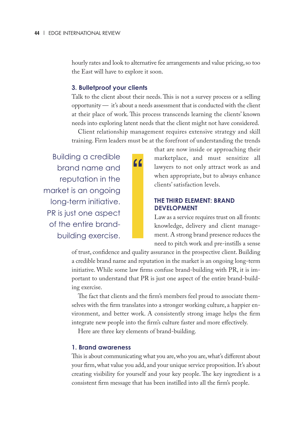hourly rates and look to alternative fee arrangements and value pricing, so too the East will have to explore it soon.

#### **3. Bulletproof your clients**

Talk to the client about their needs. This is not a survey process or a selling opportunity — it's about a needs assessment that is conducted with the client at their place of work. This process transcends learning the clients' known needs into exploring latent needs that the client might not have considered.

Client relationship management requires extensive strategy and skill training. Firm leaders must be at the forefront of understanding the trends

"

Building a credible brand name and reputation in the market is an ongoing long-term initiative. PR is just one aspect of the entire brandbuilding exercise.

that are now inside or approaching their marketplace, and must sensitize all lawyers to not only attract work as and when appropriate, but to always enhance clients' satisfaction levels.

#### **THE THIRD ELEMENT: BRAND DEVELOPMENT**

Law as a service requires trust on all fronts: knowledge, delivery and client management. A strong brand presence reduces the need to pitch work and pre-instills a sense

of trust, confidence and quality assurance in the prospective client. Building a credible brand name and reputation in the market is an ongoing long-term initiative. While some law firms confuse brand-building with PR, it is important to understand that PR is just one aspect of the entire brand-building exercise.

The fact that clients and the firm's members feel proud to associate themselves with the firm translates into a stronger working culture, a happier environment, and better work. A consistently strong image helps the firm integrate new people into the firm's culture faster and more effectively.

Here are three key elements of brand-building.

#### **1. Brand awareness**

This is about communicating what you are, who you are, what's different about your firm,what value you add, and your unique service proposition.It's about creating visibility for yourself and your key people. The key ingredient is a consistent firm message that has been instilled into all the firm's people.